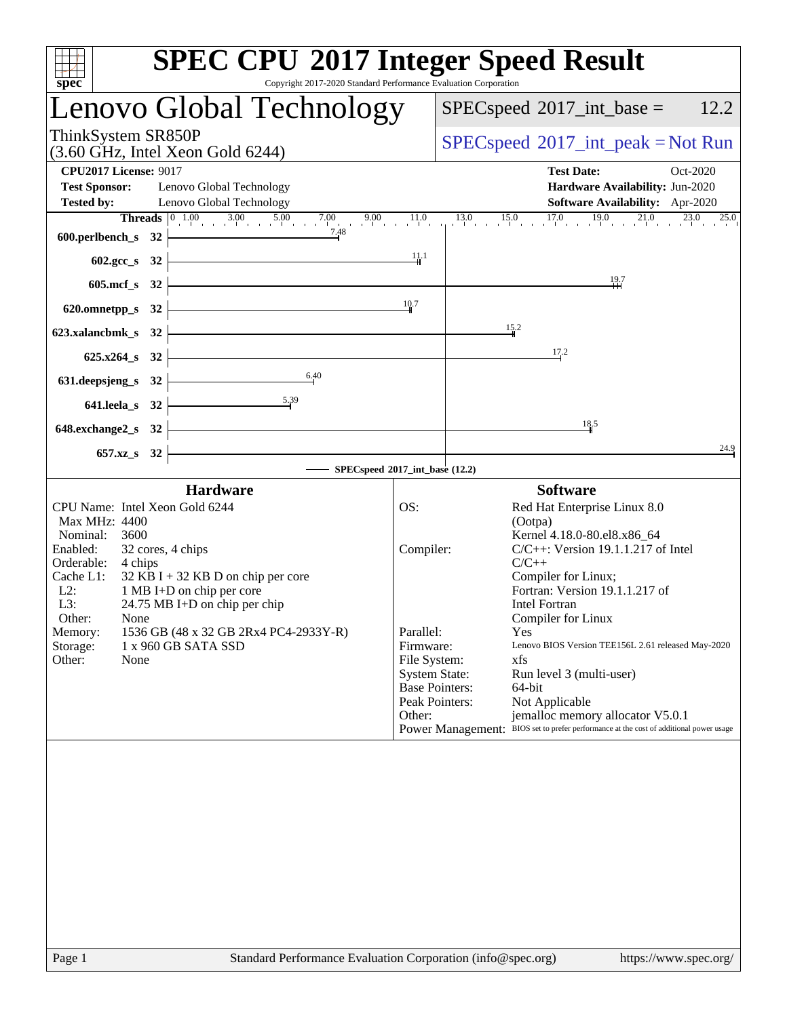| spec <sup>®</sup>                                                                                                                                                                                                                                                                                                                                                                             | <b>SPEC CPU®2017 Integer Speed Result</b><br>Copyright 2017-2020 Standard Performance Evaluation Corporation                                                                                                                                                                                                                                                                                                                                                                                                                                                                                                                                                        |
|-----------------------------------------------------------------------------------------------------------------------------------------------------------------------------------------------------------------------------------------------------------------------------------------------------------------------------------------------------------------------------------------------|---------------------------------------------------------------------------------------------------------------------------------------------------------------------------------------------------------------------------------------------------------------------------------------------------------------------------------------------------------------------------------------------------------------------------------------------------------------------------------------------------------------------------------------------------------------------------------------------------------------------------------------------------------------------|
| Lenovo Global Technology                                                                                                                                                                                                                                                                                                                                                                      | $SPEC speed^{\circ}2017\_int\_base =$<br>12.2                                                                                                                                                                                                                                                                                                                                                                                                                                                                                                                                                                                                                       |
| ThinkSystem SR850P<br>$(3.60 \text{ GHz}, \text{Intel Xeon Gold } 6244)$                                                                                                                                                                                                                                                                                                                      | $SPEC speed^{\circ}2017\_int\_peak = Not Run$                                                                                                                                                                                                                                                                                                                                                                                                                                                                                                                                                                                                                       |
| <b>CPU2017 License: 9017</b><br><b>Test Sponsor:</b><br>Lenovo Global Technology                                                                                                                                                                                                                                                                                                              | <b>Test Date:</b><br>Oct-2020<br>Hardware Availability: Jun-2020<br><b>Example 1.00</b> 1.00 1.00 5.00 7.00 9.00 11.0 13.0 15.0 17.0 19.0 21.0 23.0 25.0                                                                                                                                                                                                                                                                                                                                                                                                                                                                                                            |
| 602.gcc_s 32 $\frac{11.1}{11}$                                                                                                                                                                                                                                                                                                                                                                |                                                                                                                                                                                                                                                                                                                                                                                                                                                                                                                                                                                                                                                                     |
| $605 \text{.mcf}\_8$ 32<br>$620.0$ mnetpp_s $32$                                                                                                                                                                                                                                                                                                                                              | $\frac{19.7}{ }$<br>10.7                                                                                                                                                                                                                                                                                                                                                                                                                                                                                                                                                                                                                                            |
| 623.xalancbmk_s 32 $\overline{\qquad}$<br>$625.x264_s$ 32<br>631. deepsjeng_s 32 $\frac{6.40}{1}$<br>641.leela_s 32 $\frac{5.39}{1}$                                                                                                                                                                                                                                                          | $\frac{15.2}{2}$<br>17.2                                                                                                                                                                                                                                                                                                                                                                                                                                                                                                                                                                                                                                            |
| $648$ .exchange2_s $32$ $\overline{\phantom{a}}$<br>$657.xz$ $32$                                                                                                                                                                                                                                                                                                                             | 18,5<br>24.9                                                                                                                                                                                                                                                                                                                                                                                                                                                                                                                                                                                                                                                        |
|                                                                                                                                                                                                                                                                                                                                                                                               | SPECspeed®2017_int_base (12.2)                                                                                                                                                                                                                                                                                                                                                                                                                                                                                                                                                                                                                                      |
| <b>Hardware</b><br>CPU Name: Intel Xeon Gold 6244<br>Max MHz: 4400<br>Nominal: 3600<br>Enabled:<br>32 cores, 4 chips<br>Orderable: 4 chips<br>Cache L1: $32$ KB I + 32 KB D on chip per core<br>L2: 1 MB I+D on chip per core<br>L3:<br>24.75 MB I+D on chip per chip<br>Other: None<br>1536 GB (48 x 32 GB 2Rx4 PC4-2933Y-R)<br>Memory:<br>1 x 960 GB SATA SSD<br>Storage:<br>Other:<br>None | <b>Software</b><br>OS:<br>Red Hat Enterprise Linux 8.0<br>(Ootpa)<br>Kernel 4.18.0-80.el8.x86_64<br>$C/C++$ : Version 19.1.1.217 of Intel<br>Compiler:<br>$C/C++$<br>Compiler for Linux;<br>Fortran: Version 19.1.1.217 of<br><b>Intel Fortran</b><br>Compiler for Linux<br>Parallel:<br>Yes<br>Lenovo BIOS Version TEE156L 2.61 released May-2020<br>Firmware:<br>File System:<br>xfs<br><b>System State:</b><br>Run level 3 (multi-user)<br><b>Base Pointers:</b><br>64-bit<br>Peak Pointers:<br>Not Applicable<br>Other:<br>jemalloc memory allocator V5.0.1<br>BIOS set to prefer performance at the cost of additional power usage<br><b>Power Management:</b> |
|                                                                                                                                                                                                                                                                                                                                                                                               |                                                                                                                                                                                                                                                                                                                                                                                                                                                                                                                                                                                                                                                                     |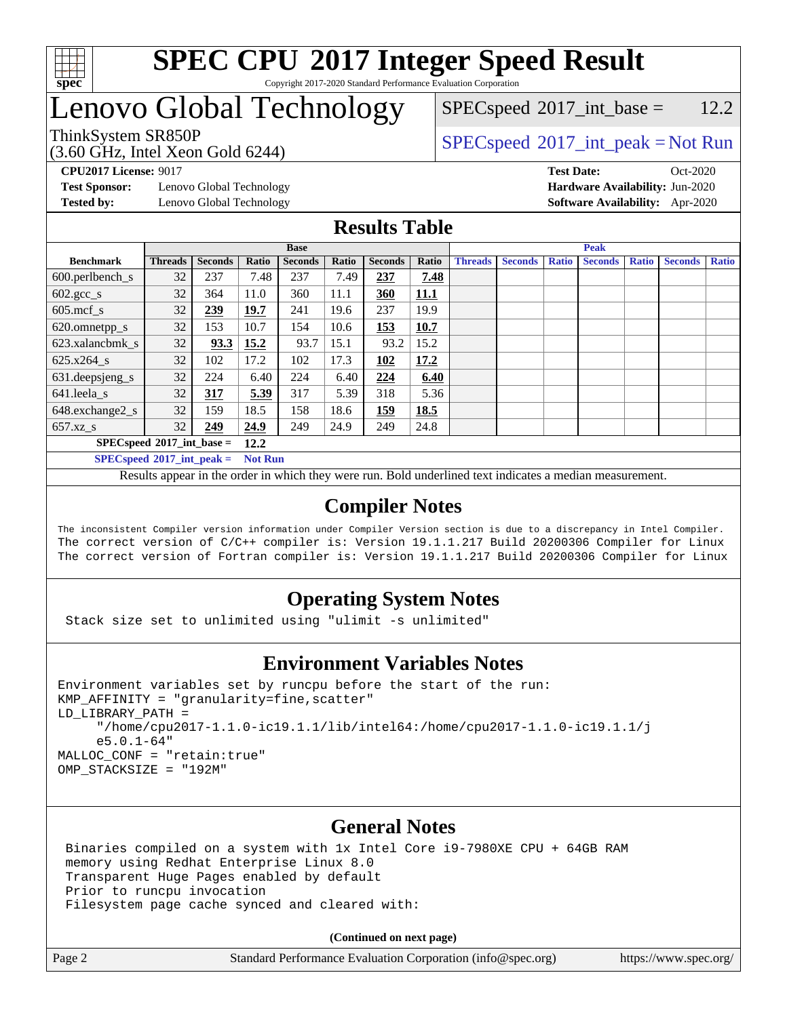

## Lenovo Global Technology

## ThinkSystem SR850P<br>  $SPEC speed^{\circ}2017\_int\_peak = Not Run$

(3.60 GHz, Intel Xeon Gold 6244)

 $SPEC speed^{\circ}2017\_int\_base = 12.2$ 

**[Test Sponsor:](http://www.spec.org/auto/cpu2017/Docs/result-fields.html#TestSponsor)** Lenovo Global Technology **[Hardware Availability:](http://www.spec.org/auto/cpu2017/Docs/result-fields.html#HardwareAvailability)** Jun-2020 **[Tested by:](http://www.spec.org/auto/cpu2017/Docs/result-fields.html#Testedby)** Lenovo Global Technology **[Software Availability:](http://www.spec.org/auto/cpu2017/Docs/result-fields.html#SoftwareAvailability)** Apr-2020

**[CPU2017 License:](http://www.spec.org/auto/cpu2017/Docs/result-fields.html#CPU2017License)** 9017 **[Test Date:](http://www.spec.org/auto/cpu2017/Docs/result-fields.html#TestDate)** Oct-2020

## **[Results Table](http://www.spec.org/auto/cpu2017/Docs/result-fields.html#ResultsTable)**

|                                    | <b>Base</b>    |                |       |                |       | <b>Peak</b>    |       |                |                |              |                |              |                |              |
|------------------------------------|----------------|----------------|-------|----------------|-------|----------------|-------|----------------|----------------|--------------|----------------|--------------|----------------|--------------|
| <b>Benchmark</b>                   | <b>Threads</b> | <b>Seconds</b> | Ratio | <b>Seconds</b> | Ratio | <b>Seconds</b> | Ratio | <b>Threads</b> | <b>Seconds</b> | <b>Ratio</b> | <b>Seconds</b> | <b>Ratio</b> | <b>Seconds</b> | <b>Ratio</b> |
| $600.$ perlbench $\mathsf{S}$      | 32             | 237            | 7.48  | 237            | 7.49  | <u>237</u>     | 7.48  |                |                |              |                |              |                |              |
| $602.\text{gcc}\_\text{s}$         | 32             | 364            | 11.0  | 360            | 11.1  | 360            | 11.1  |                |                |              |                |              |                |              |
| $605$ .mcf s                       | 32             | 239            | 19.7  | 241            | 19.6  | 237            | 19.9  |                |                |              |                |              |                |              |
| 620.omnetpp_s                      | 32             | 153            | 10.7  | 154            | 10.6  | 153            | 10.7  |                |                |              |                |              |                |              |
| 623.xalancbmk s                    | 32             | 93.3           | 15.2  | 93.7           | 15.1  | 93.2           | 15.2  |                |                |              |                |              |                |              |
| 625.x264 s                         | 32             | 102            | 17.2  | 102            | 17.3  | 102            | 17.2  |                |                |              |                |              |                |              |
| 631.deepsjeng_s                    | 32             | 224            | 6.40  | 224            | 6.40  | 224            | 6.40  |                |                |              |                |              |                |              |
| 641.leela s                        | 32             | 317            | 5.39  | 317            | 5.39  | 318            | 5.36  |                |                |              |                |              |                |              |
| 648.exchange2_s                    | 32             | 159            | 18.5  | 158            | 18.6  | <u>159</u>     | 18.5  |                |                |              |                |              |                |              |
| $657.xz$ s                         | 32             | 249            | 24.9  | 249            | 24.9  | 249            | 24.8  |                |                |              |                |              |                |              |
| $SPECspeed^{\circ}2017$ int base = | 12.2           |                |       |                |       |                |       |                |                |              |                |              |                |              |

**[SPECspeed](http://www.spec.org/auto/cpu2017/Docs/result-fields.html#SPECspeed2017intpeak)[2017\\_int\\_peak =](http://www.spec.org/auto/cpu2017/Docs/result-fields.html#SPECspeed2017intpeak) Not Run**

Results appear in the [order in which they were run.](http://www.spec.org/auto/cpu2017/Docs/result-fields.html#RunOrder) Bold underlined text [indicates a median measurement.](http://www.spec.org/auto/cpu2017/Docs/result-fields.html#Median)

## **[Compiler Notes](http://www.spec.org/auto/cpu2017/Docs/result-fields.html#CompilerNotes)**

The inconsistent Compiler version information under Compiler Version section is due to a discrepancy in Intel Compiler. The correct version of C/C++ compiler is: Version 19.1.1.217 Build 20200306 Compiler for Linux The correct version of Fortran compiler is: Version 19.1.1.217 Build 20200306 Compiler for Linux

## **[Operating System Notes](http://www.spec.org/auto/cpu2017/Docs/result-fields.html#OperatingSystemNotes)**

Stack size set to unlimited using "ulimit -s unlimited"

## **[Environment Variables Notes](http://www.spec.org/auto/cpu2017/Docs/result-fields.html#EnvironmentVariablesNotes)**

```
Environment variables set by runcpu before the start of the run:
KMP_AFFINITY = "granularity=fine,scatter"
LD_LIBRARY_PATH =
      "/home/cpu2017-1.1.0-ic19.1.1/lib/intel64:/home/cpu2017-1.1.0-ic19.1.1/j
      e5.0.1-64"
MALLOC_CONF = "retain:true"
OMP_STACKSIZE = "192M"
```
## **[General Notes](http://www.spec.org/auto/cpu2017/Docs/result-fields.html#GeneralNotes)**

 Binaries compiled on a system with 1x Intel Core i9-7980XE CPU + 64GB RAM memory using Redhat Enterprise Linux 8.0 Transparent Huge Pages enabled by default Prior to runcpu invocation Filesystem page cache synced and cleared with:

**(Continued on next page)**

Page 2 Standard Performance Evaluation Corporation [\(info@spec.org\)](mailto:info@spec.org) <https://www.spec.org/>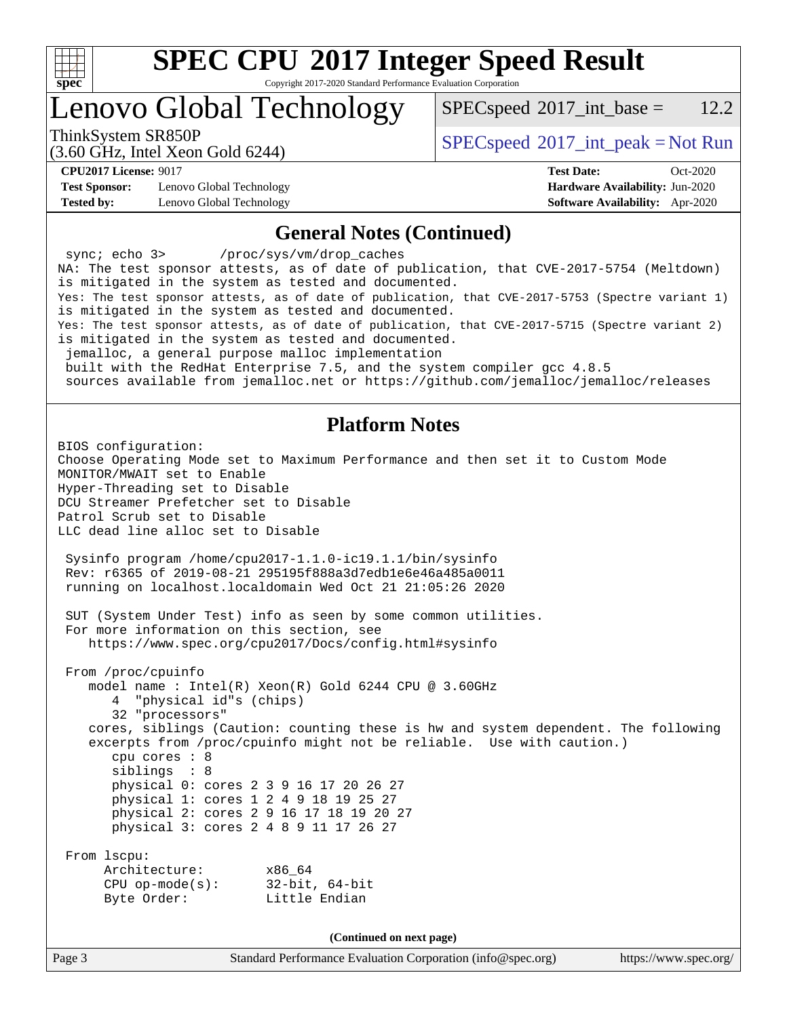

# **[SPEC CPU](http://www.spec.org/auto/cpu2017/Docs/result-fields.html#SPECCPU2017IntegerSpeedResult)[2017 Integer Speed Result](http://www.spec.org/auto/cpu2017/Docs/result-fields.html#SPECCPU2017IntegerSpeedResult)**

Copyright 2017-2020 Standard Performance Evaluation Corporation

## Lenovo Global Technology

 $SPEC speed^{\circ}2017\_int\_base = 12.2$ 

(3.60 GHz, Intel Xeon Gold 6244)

ThinkSystem SR850P<br>  $SPEC speed^{\circ}2017\_int\_peak = Not Run$ 

**[Test Sponsor:](http://www.spec.org/auto/cpu2017/Docs/result-fields.html#TestSponsor)** Lenovo Global Technology **[Hardware Availability:](http://www.spec.org/auto/cpu2017/Docs/result-fields.html#HardwareAvailability)** Jun-2020 **[Tested by:](http://www.spec.org/auto/cpu2017/Docs/result-fields.html#Testedby)** Lenovo Global Technology **[Software Availability:](http://www.spec.org/auto/cpu2017/Docs/result-fields.html#SoftwareAvailability)** Apr-2020

**[CPU2017 License:](http://www.spec.org/auto/cpu2017/Docs/result-fields.html#CPU2017License)** 9017 **[Test Date:](http://www.spec.org/auto/cpu2017/Docs/result-fields.html#TestDate)** Oct-2020

#### **[General Notes \(Continued\)](http://www.spec.org/auto/cpu2017/Docs/result-fields.html#GeneralNotes)**

 sync; echo 3> /proc/sys/vm/drop\_caches NA: The test sponsor attests, as of date of publication, that CVE-2017-5754 (Meltdown) is mitigated in the system as tested and documented. Yes: The test sponsor attests, as of date of publication, that CVE-2017-5753 (Spectre variant 1) is mitigated in the system as tested and documented. Yes: The test sponsor attests, as of date of publication, that CVE-2017-5715 (Spectre variant 2) is mitigated in the system as tested and documented. jemalloc, a general purpose malloc implementation built with the RedHat Enterprise 7.5, and the system compiler gcc 4.8.5 sources available from jemalloc.net or<https://github.com/jemalloc/jemalloc/releases> **[Platform Notes](http://www.spec.org/auto/cpu2017/Docs/result-fields.html#PlatformNotes)** BIOS configuration: Choose Operating Mode set to Maximum Performance and then set it to Custom Mode MONITOR/MWAIT set to Enable Hyper-Threading set to Disable DCU Streamer Prefetcher set to Disable Patrol Scrub set to Disable LLC dead line alloc set to Disable Sysinfo program /home/cpu2017-1.1.0-ic19.1.1/bin/sysinfo Rev: r6365 of 2019-08-21 295195f888a3d7edb1e6e46a485a0011 running on localhost.localdomain Wed Oct 21 21:05:26 2020 SUT (System Under Test) info as seen by some common utilities. For more information on this section, see <https://www.spec.org/cpu2017/Docs/config.html#sysinfo> From /proc/cpuinfo model name : Intel(R) Xeon(R) Gold 6244 CPU @ 3.60GHz 4 "physical id"s (chips) 32 "processors" cores, siblings (Caution: counting these is hw and system dependent. The following excerpts from /proc/cpuinfo might not be reliable. Use with caution.) cpu cores : 8 siblings : 8 physical 0: cores 2 3 9 16 17 20 26 27 physical 1: cores 1 2 4 9 18 19 25 27 physical 2: cores 2 9 16 17 18 19 20 27 physical 3: cores 2 4 8 9 11 17 26 27 From lscpu: Architecture: x86\_64 CPU op-mode(s): 32-bit, 64-bit Byte Order: Little Endian **(Continued on next page)**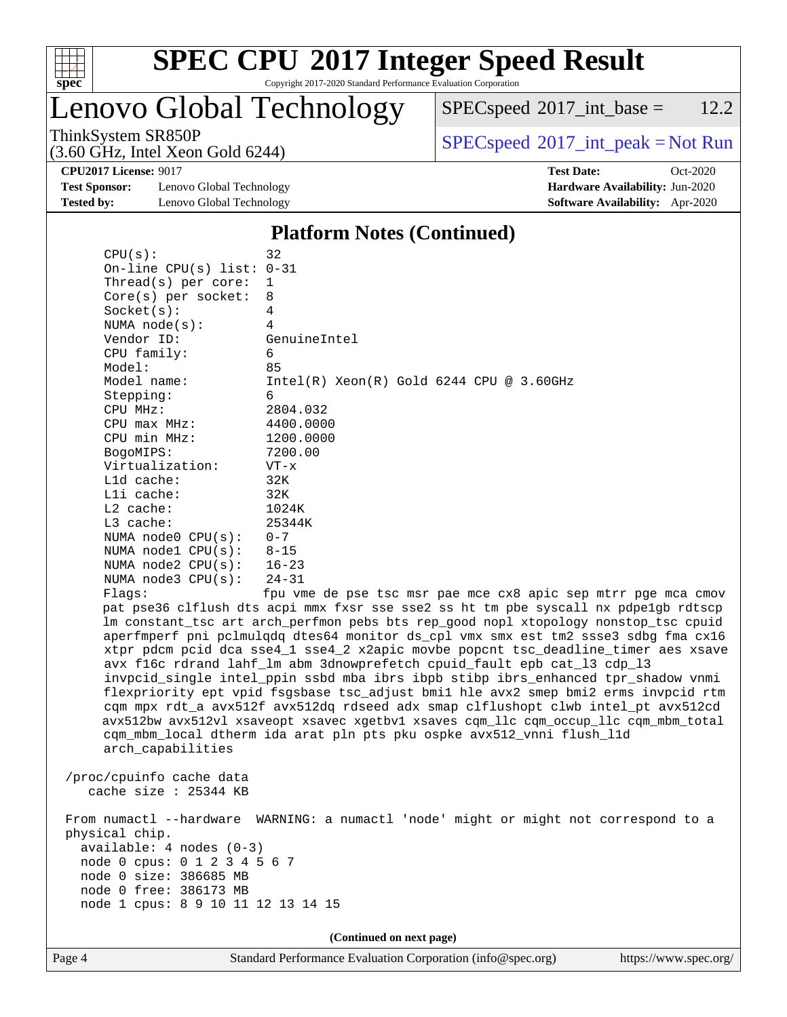

Lenovo Global Technology

 $SPECspeed^{\circledcirc}2017\_int\_base = 12.2$  $SPECspeed^{\circledcirc}2017\_int\_base = 12.2$ 

(3.60 GHz, Intel Xeon Gold 6244)

 $SPEC speed^{\circ}2017\_int\_peak = Not Run$ 

**[Test Sponsor:](http://www.spec.org/auto/cpu2017/Docs/result-fields.html#TestSponsor)** Lenovo Global Technology **[Hardware Availability:](http://www.spec.org/auto/cpu2017/Docs/result-fields.html#HardwareAvailability)** Jun-2020 **[Tested by:](http://www.spec.org/auto/cpu2017/Docs/result-fields.html#Testedby)** Lenovo Global Technology **[Software Availability:](http://www.spec.org/auto/cpu2017/Docs/result-fields.html#SoftwareAvailability)** Apr-2020

**[CPU2017 License:](http://www.spec.org/auto/cpu2017/Docs/result-fields.html#CPU2017License)** 9017 **[Test Date:](http://www.spec.org/auto/cpu2017/Docs/result-fields.html#TestDate)** Oct-2020

### **[Platform Notes \(Continued\)](http://www.spec.org/auto/cpu2017/Docs/result-fields.html#PlatformNotes)**

| CPU(s):                                                                                                                                                                | 32                                                                                                                                                                                                                                                                                                                                                                                                                                                                                                                                                                                                                                                                                                                                                                                                                                                              |
|------------------------------------------------------------------------------------------------------------------------------------------------------------------------|-----------------------------------------------------------------------------------------------------------------------------------------------------------------------------------------------------------------------------------------------------------------------------------------------------------------------------------------------------------------------------------------------------------------------------------------------------------------------------------------------------------------------------------------------------------------------------------------------------------------------------------------------------------------------------------------------------------------------------------------------------------------------------------------------------------------------------------------------------------------|
| On-line CPU(s) list: $0-31$                                                                                                                                            |                                                                                                                                                                                                                                                                                                                                                                                                                                                                                                                                                                                                                                                                                                                                                                                                                                                                 |
| Thread(s) per core:                                                                                                                                                    | 1                                                                                                                                                                                                                                                                                                                                                                                                                                                                                                                                                                                                                                                                                                                                                                                                                                                               |
| $Core(s)$ per socket:                                                                                                                                                  | 8                                                                                                                                                                                                                                                                                                                                                                                                                                                                                                                                                                                                                                                                                                                                                                                                                                                               |
| Socket(s):                                                                                                                                                             | 4                                                                                                                                                                                                                                                                                                                                                                                                                                                                                                                                                                                                                                                                                                                                                                                                                                                               |
| NUMA $node(s):$                                                                                                                                                        | 4                                                                                                                                                                                                                                                                                                                                                                                                                                                                                                                                                                                                                                                                                                                                                                                                                                                               |
| Vendor ID:                                                                                                                                                             | GenuineIntel                                                                                                                                                                                                                                                                                                                                                                                                                                                                                                                                                                                                                                                                                                                                                                                                                                                    |
| CPU family:                                                                                                                                                            | 6                                                                                                                                                                                                                                                                                                                                                                                                                                                                                                                                                                                                                                                                                                                                                                                                                                                               |
| Model:                                                                                                                                                                 | 85                                                                                                                                                                                                                                                                                                                                                                                                                                                                                                                                                                                                                                                                                                                                                                                                                                                              |
| Model name:                                                                                                                                                            | $Intel(R)$ Xeon $(R)$ Gold 6244 CPU @ 3.60GHz                                                                                                                                                                                                                                                                                                                                                                                                                                                                                                                                                                                                                                                                                                                                                                                                                   |
| Stepping:                                                                                                                                                              | 6                                                                                                                                                                                                                                                                                                                                                                                                                                                                                                                                                                                                                                                                                                                                                                                                                                                               |
| CPU MHz:                                                                                                                                                               | 2804.032                                                                                                                                                                                                                                                                                                                                                                                                                                                                                                                                                                                                                                                                                                                                                                                                                                                        |
| $CPU$ max $MHz$ :                                                                                                                                                      | 4400.0000                                                                                                                                                                                                                                                                                                                                                                                                                                                                                                                                                                                                                                                                                                                                                                                                                                                       |
| CPU min MHz:                                                                                                                                                           | 1200.0000                                                                                                                                                                                                                                                                                                                                                                                                                                                                                                                                                                                                                                                                                                                                                                                                                                                       |
| BogoMIPS:                                                                                                                                                              | 7200.00                                                                                                                                                                                                                                                                                                                                                                                                                                                                                                                                                                                                                                                                                                                                                                                                                                                         |
| Virtualization:                                                                                                                                                        | $VT - x$                                                                                                                                                                                                                                                                                                                                                                                                                                                                                                                                                                                                                                                                                                                                                                                                                                                        |
| $L1d$ cache:                                                                                                                                                           | 32K                                                                                                                                                                                                                                                                                                                                                                                                                                                                                                                                                                                                                                                                                                                                                                                                                                                             |
| Lli cache:                                                                                                                                                             | 32K                                                                                                                                                                                                                                                                                                                                                                                                                                                                                                                                                                                                                                                                                                                                                                                                                                                             |
| L2 cache:                                                                                                                                                              | 1024K                                                                                                                                                                                                                                                                                                                                                                                                                                                                                                                                                                                                                                                                                                                                                                                                                                                           |
| $L3$ cache:                                                                                                                                                            | 25344K                                                                                                                                                                                                                                                                                                                                                                                                                                                                                                                                                                                                                                                                                                                                                                                                                                                          |
| NUMA $node0$ $CPU(s)$ :                                                                                                                                                | $0 - 7$                                                                                                                                                                                                                                                                                                                                                                                                                                                                                                                                                                                                                                                                                                                                                                                                                                                         |
| NUMA $node1$ $CPU(s):$                                                                                                                                                 | $8 - 15$                                                                                                                                                                                                                                                                                                                                                                                                                                                                                                                                                                                                                                                                                                                                                                                                                                                        |
| NUMA $node2$ $CPU(s):$                                                                                                                                                 | $16 - 23$                                                                                                                                                                                                                                                                                                                                                                                                                                                                                                                                                                                                                                                                                                                                                                                                                                                       |
| NUMA $node3$ CPU $(s)$ :                                                                                                                                               | $24 - 31$                                                                                                                                                                                                                                                                                                                                                                                                                                                                                                                                                                                                                                                                                                                                                                                                                                                       |
| Flaqs:                                                                                                                                                                 | fpu vme de pse tsc msr pae mce cx8 apic sep mtrr pge mca cmov                                                                                                                                                                                                                                                                                                                                                                                                                                                                                                                                                                                                                                                                                                                                                                                                   |
| arch_capabilities                                                                                                                                                      | pat pse36 clflush dts acpi mmx fxsr sse sse2 ss ht tm pbe syscall nx pdpelgb rdtscp<br>lm constant_tsc art arch_perfmon pebs bts rep_good nopl xtopology nonstop_tsc cpuid<br>aperfmperf pni pclmulqdq dtes64 monitor ds_cpl vmx smx est tm2 ssse3 sdbg fma cx16<br>xtpr pdcm pcid dca sse4_1 sse4_2 x2apic movbe popcnt tsc_deadline_timer aes xsave<br>avx f16c rdrand lahf_lm abm 3dnowprefetch cpuid_fault epb cat_13 cdp_13<br>invpcid_single intel_ppin ssbd mba ibrs ibpb stibp ibrs_enhanced tpr_shadow vnmi<br>flexpriority ept vpid fsgsbase tsc_adjust bmil hle avx2 smep bmi2 erms invpcid rtm<br>cqm mpx rdt_a avx512f avx512dq rdseed adx smap clflushopt clwb intel_pt avx512cd<br>avx512bw avx512vl xsaveopt xsavec xgetbvl xsaves cqm_llc cqm_occup_llc cqm_mbm_total<br>cqm_mbm_local dtherm ida arat pln pts pku ospke avx512_vnni flush_l1d |
| /proc/cpuinfo cache data<br>cache size : 25344 KB                                                                                                                      |                                                                                                                                                                                                                                                                                                                                                                                                                                                                                                                                                                                                                                                                                                                                                                                                                                                                 |
| physical chip.<br>$available: 4 nodes (0-3)$<br>node 0 cpus: 0 1 2 3 4 5 6 7<br>node 0 size: 386685 MB<br>node 0 free: 386173 MB<br>node 1 cpus: 8 9 10 11 12 13 14 15 | From numactl --hardware WARNING: a numactl 'node' might or might not correspond to a                                                                                                                                                                                                                                                                                                                                                                                                                                                                                                                                                                                                                                                                                                                                                                            |

**(Continued on next page)**

Page 4 Standard Performance Evaluation Corporation [\(info@spec.org\)](mailto:info@spec.org) <https://www.spec.org/>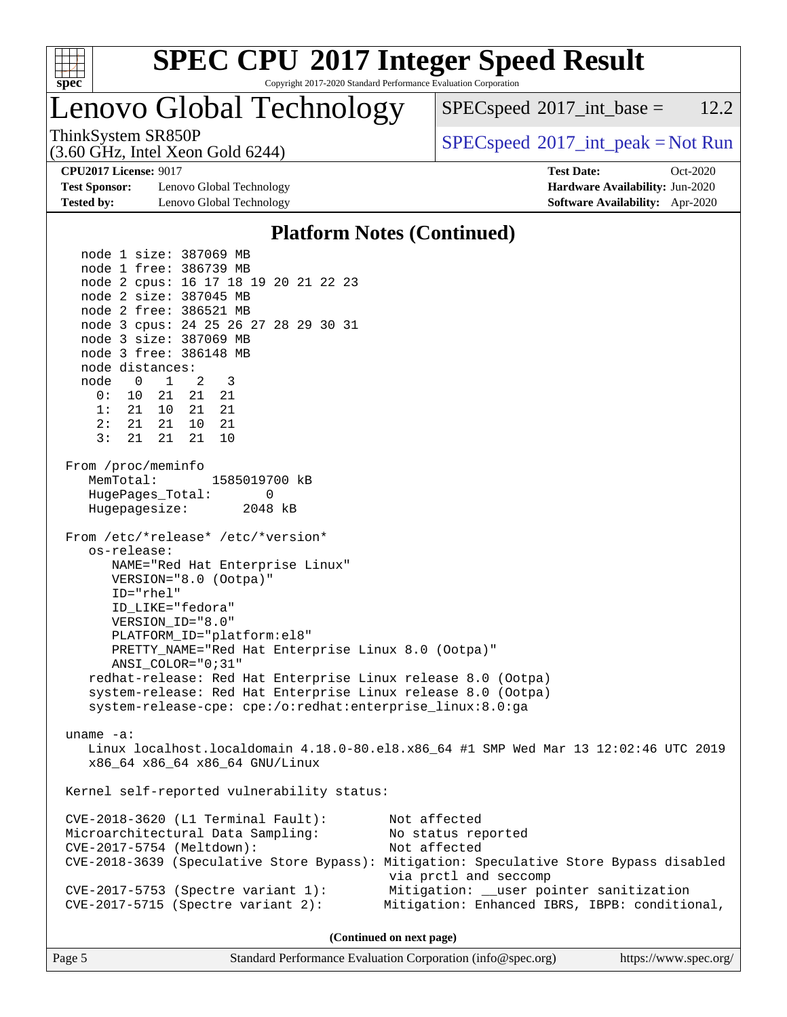

# **[SPEC CPU](http://www.spec.org/auto/cpu2017/Docs/result-fields.html#SPECCPU2017IntegerSpeedResult)[2017 Integer Speed Result](http://www.spec.org/auto/cpu2017/Docs/result-fields.html#SPECCPU2017IntegerSpeedResult)**

Copyright 2017-2020 Standard Performance Evaluation Corporation

## Lenovo Global Technology

 $SPEC speed^{\circ}2017\_int\_base = 12.2$ 

(3.60 GHz, Intel Xeon Gold 6244)

ThinkSystem SR850P<br>  $SPEC speed^{\circ}2017\_int\_peak = Not Run$ 

**[Test Sponsor:](http://www.spec.org/auto/cpu2017/Docs/result-fields.html#TestSponsor)** Lenovo Global Technology **[Hardware Availability:](http://www.spec.org/auto/cpu2017/Docs/result-fields.html#HardwareAvailability)** Jun-2020 **[Tested by:](http://www.spec.org/auto/cpu2017/Docs/result-fields.html#Testedby)** Lenovo Global Technology **[Software Availability:](http://www.spec.org/auto/cpu2017/Docs/result-fields.html#SoftwareAvailability)** Apr-2020

**[CPU2017 License:](http://www.spec.org/auto/cpu2017/Docs/result-fields.html#CPU2017License)** 9017 **[Test Date:](http://www.spec.org/auto/cpu2017/Docs/result-fields.html#TestDate)** Oct-2020

### **[Platform Notes \(Continued\)](http://www.spec.org/auto/cpu2017/Docs/result-fields.html#PlatformNotes)**

 node 1 size: 387069 MB node 1 free: 386739 MB node 2 cpus: 16 17 18 19 20 21 22 23 node 2 size: 387045 MB node 2 free: 386521 MB node 3 cpus: 24 25 26 27 28 29 30 31 node 3 size: 387069 MB node 3 free: 386148 MB node distances: node 0 1 2 3 0: 10 21 21 21 1: 21 10 21 21 2: 21 21 10 21 3: 21 21 21 10 From /proc/meminfo MemTotal: 1585019700 kB HugePages\_Total: 0 Hugepagesize: 2048 kB From /etc/\*release\* /etc/\*version\* os-release: NAME="Red Hat Enterprise Linux" VERSION="8.0 (Ootpa)" ID="rhel" ID\_LIKE="fedora" VERSION\_ID="8.0" PLATFORM\_ID="platform:el8" PRETTY\_NAME="Red Hat Enterprise Linux 8.0 (Ootpa)" ANSI\_COLOR="0;31" redhat-release: Red Hat Enterprise Linux release 8.0 (Ootpa) system-release: Red Hat Enterprise Linux release 8.0 (Ootpa) system-release-cpe: cpe:/o:redhat:enterprise\_linux:8.0:ga uname -a: Linux localhost.localdomain 4.18.0-80.el8.x86\_64 #1 SMP Wed Mar 13 12:02:46 UTC 2019 x86\_64 x86\_64 x86\_64 GNU/Linux Kernel self-reported vulnerability status: CVE-2018-3620 (L1 Terminal Fault): Not affected Microarchitectural Data Sampling: No status reported CVE-2017-5754 (Meltdown): Not affected CVE-2018-3639 (Speculative Store Bypass): Mitigation: Speculative Store Bypass disabled via prctl and seccomp CVE-2017-5753 (Spectre variant 1): Mitigation: \_\_user pointer sanitization CVE-2017-5715 (Spectre variant 2): Mitigation: Enhanced IBRS, IBPB: conditional,

**(Continued on next page)**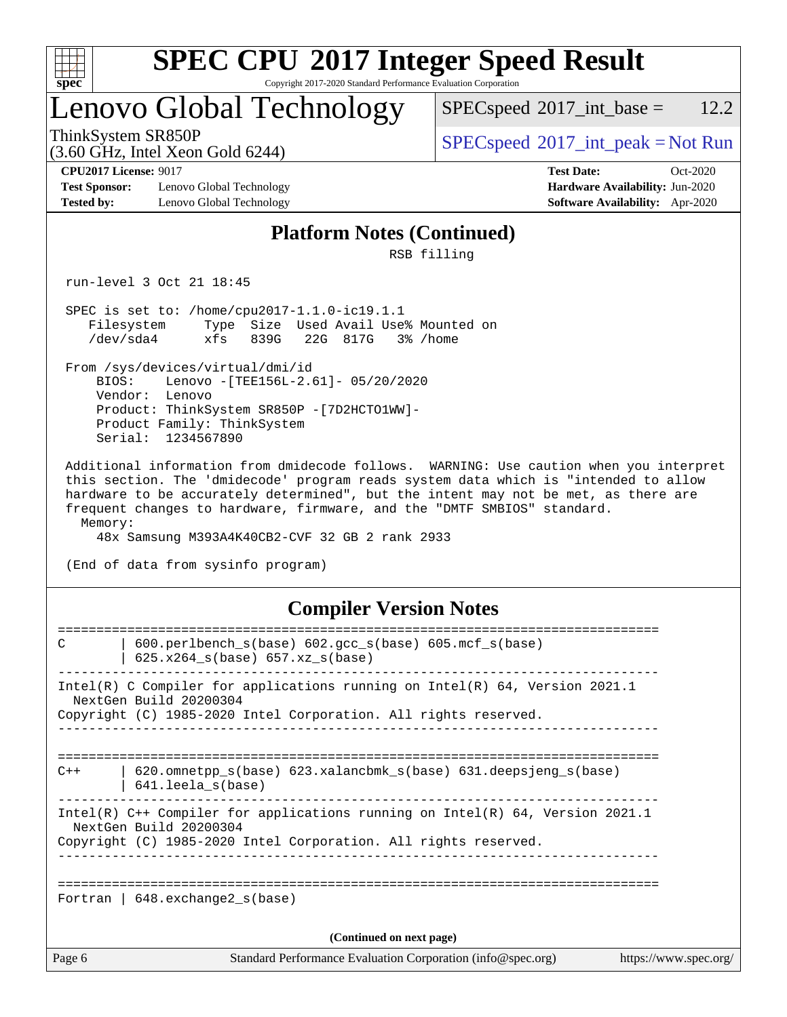

# **[SPEC CPU](http://www.spec.org/auto/cpu2017/Docs/result-fields.html#SPECCPU2017IntegerSpeedResult)[2017 Integer Speed Result](http://www.spec.org/auto/cpu2017/Docs/result-fields.html#SPECCPU2017IntegerSpeedResult)**

Copyright 2017-2020 Standard Performance Evaluation Corporation

## Lenovo Global Technology

 $SPEC speed^{\circ}2017\_int\_base = 12.2$ 

(3.60 GHz, Intel Xeon Gold 6244)

ThinkSystem SR850P<br>  $SPEC speed^{\circ}2017\_int\_peak = Not Run$ 

**[Test Sponsor:](http://www.spec.org/auto/cpu2017/Docs/result-fields.html#TestSponsor)** Lenovo Global Technology **[Hardware Availability:](http://www.spec.org/auto/cpu2017/Docs/result-fields.html#HardwareAvailability)** Jun-2020 **[Tested by:](http://www.spec.org/auto/cpu2017/Docs/result-fields.html#Testedby)** Lenovo Global Technology **[Software Availability:](http://www.spec.org/auto/cpu2017/Docs/result-fields.html#SoftwareAvailability)** Apr-2020

**[CPU2017 License:](http://www.spec.org/auto/cpu2017/Docs/result-fields.html#CPU2017License)** 9017 **[Test Date:](http://www.spec.org/auto/cpu2017/Docs/result-fields.html#TestDate)** Oct-2020

#### **[Platform Notes \(Continued\)](http://www.spec.org/auto/cpu2017/Docs/result-fields.html#PlatformNotes)**

RSB filling

run-level 3 Oct 21 18:45

 SPEC is set to: /home/cpu2017-1.1.0-ic19.1.1 Filesystem Type Size Used Avail Use% Mounted on /dev/sda4 xfs 839G 22G 817G 3% /home

 From /sys/devices/virtual/dmi/id BIOS: Lenovo -[TEE156L-2.61]- 05/20/2020 Vendor: Lenovo Product: ThinkSystem SR850P -[7D2HCTO1WW]- Product Family: ThinkSystem Serial: 1234567890

 Additional information from dmidecode follows. WARNING: Use caution when you interpret this section. The 'dmidecode' program reads system data which is "intended to allow hardware to be accurately determined", but the intent may not be met, as there are frequent changes to hardware, firmware, and the "DMTF SMBIOS" standard. Memory:

48x Samsung M393A4K40CB2-CVF 32 GB 2 rank 2933

(End of data from sysinfo program)

## **[Compiler Version Notes](http://www.spec.org/auto/cpu2017/Docs/result-fields.html#CompilerVersionNotes)**

| $600.$ perlbench $s(base)$ $602.$ qcc $s(base)$ $605.$ mcf $s(base)$<br>C<br>$625.x264_s(base) 657.xz_s(base)$<br>Intel(R) C Compiler for applications running on $Intel(R)$ 64, Version 2021.1<br>NextGen Build 20200304<br>Copyright (C) 1985-2020 Intel Corporation. All rights reserved.<br>$620$ .omnetpp $s(base)$ 623.xalancbmk $s(base)$ 631.deepsjeng $s(base)$<br>$C++$<br>641.leela s(base)<br>Intel(R) $C++$ Compiler for applications running on Intel(R) 64, Version 2021.1<br>NextGen Build 20200304<br>Copyright (C) 1985-2020 Intel Corporation. All rights reserved.<br>Fortran   648.exchange2_s(base)<br>(Continued on next page) | Page 6 | Standard Performance Evaluation Corporation (info@spec.org) | https://www.spec.org/ |
|-------------------------------------------------------------------------------------------------------------------------------------------------------------------------------------------------------------------------------------------------------------------------------------------------------------------------------------------------------------------------------------------------------------------------------------------------------------------------------------------------------------------------------------------------------------------------------------------------------------------------------------------------------|--------|-------------------------------------------------------------|-----------------------|
|                                                                                                                                                                                                                                                                                                                                                                                                                                                                                                                                                                                                                                                       |        |                                                             |                       |
|                                                                                                                                                                                                                                                                                                                                                                                                                                                                                                                                                                                                                                                       |        |                                                             |                       |
|                                                                                                                                                                                                                                                                                                                                                                                                                                                                                                                                                                                                                                                       |        |                                                             |                       |
|                                                                                                                                                                                                                                                                                                                                                                                                                                                                                                                                                                                                                                                       |        |                                                             |                       |
|                                                                                                                                                                                                                                                                                                                                                                                                                                                                                                                                                                                                                                                       |        |                                                             |                       |
|                                                                                                                                                                                                                                                                                                                                                                                                                                                                                                                                                                                                                                                       |        |                                                             |                       |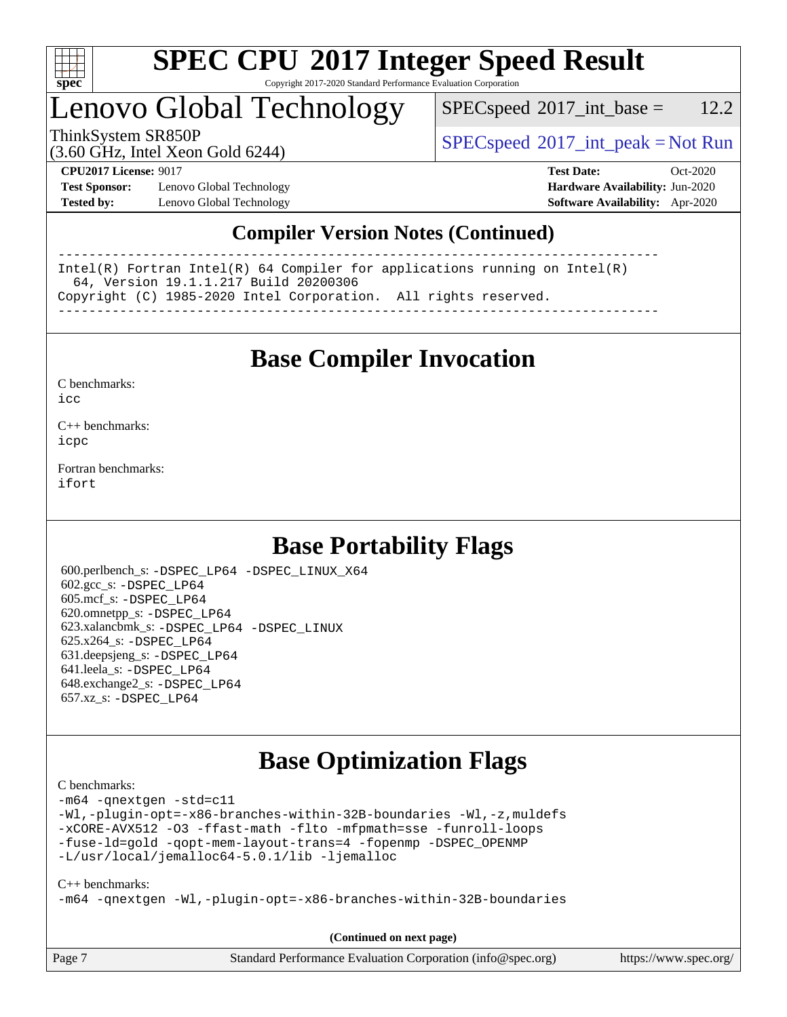

## Lenovo Global Technology

 $SPEC speed^{\circ}2017\_int\_base = 12.2$ 

(3.60 GHz, Intel Xeon Gold 6244)

ThinkSystem SR850P<br>  $SPEC speed^{\circ}2017\_int\_peak = Not Run$ 

**[Test Sponsor:](http://www.spec.org/auto/cpu2017/Docs/result-fields.html#TestSponsor)** Lenovo Global Technology **[Hardware Availability:](http://www.spec.org/auto/cpu2017/Docs/result-fields.html#HardwareAvailability)** Jun-2020 **[Tested by:](http://www.spec.org/auto/cpu2017/Docs/result-fields.html#Testedby)** Lenovo Global Technology **[Software Availability:](http://www.spec.org/auto/cpu2017/Docs/result-fields.html#SoftwareAvailability)** Apr-2020

**[CPU2017 License:](http://www.spec.org/auto/cpu2017/Docs/result-fields.html#CPU2017License)** 9017 **[Test Date:](http://www.spec.org/auto/cpu2017/Docs/result-fields.html#TestDate)** Oct-2020

## **[Compiler Version Notes \(Continued\)](http://www.spec.org/auto/cpu2017/Docs/result-fields.html#CompilerVersionNotes)**

------------------------------------------------------------------------------ Intel(R) Fortran Intel(R) 64 Compiler for applications running on Intel(R) 64, Version 19.1.1.217 Build 20200306 Copyright (C) 1985-2020 Intel Corporation. All rights reserved. ------------------------------------------------------------------------------

**[Base Compiler Invocation](http://www.spec.org/auto/cpu2017/Docs/result-fields.html#BaseCompilerInvocation)**

[C benchmarks](http://www.spec.org/auto/cpu2017/Docs/result-fields.html#Cbenchmarks):  $i$ cc

[C++ benchmarks:](http://www.spec.org/auto/cpu2017/Docs/result-fields.html#CXXbenchmarks) [icpc](http://www.spec.org/cpu2017/results/res2020q4/cpu2017-20201026-24289.flags.html#user_CXXbase_intel_icpc_c510b6838c7f56d33e37e94d029a35b4a7bccf4766a728ee175e80a419847e808290a9b78be685c44ab727ea267ec2f070ec5dc83b407c0218cded6866a35d07)

[Fortran benchmarks](http://www.spec.org/auto/cpu2017/Docs/result-fields.html#Fortranbenchmarks): [ifort](http://www.spec.org/cpu2017/results/res2020q4/cpu2017-20201026-24289.flags.html#user_FCbase_intel_ifort_8111460550e3ca792625aed983ce982f94888b8b503583aa7ba2b8303487b4d8a21a13e7191a45c5fd58ff318f48f9492884d4413fa793fd88dd292cad7027ca)

## **[Base Portability Flags](http://www.spec.org/auto/cpu2017/Docs/result-fields.html#BasePortabilityFlags)**

 600.perlbench\_s: [-DSPEC\\_LP64](http://www.spec.org/cpu2017/results/res2020q4/cpu2017-20201026-24289.flags.html#b600.perlbench_s_basePORTABILITY_DSPEC_LP64) [-DSPEC\\_LINUX\\_X64](http://www.spec.org/cpu2017/results/res2020q4/cpu2017-20201026-24289.flags.html#b600.perlbench_s_baseCPORTABILITY_DSPEC_LINUX_X64) 602.gcc\_s: [-DSPEC\\_LP64](http://www.spec.org/cpu2017/results/res2020q4/cpu2017-20201026-24289.flags.html#suite_basePORTABILITY602_gcc_s_DSPEC_LP64) 605.mcf\_s: [-DSPEC\\_LP64](http://www.spec.org/cpu2017/results/res2020q4/cpu2017-20201026-24289.flags.html#suite_basePORTABILITY605_mcf_s_DSPEC_LP64) 620.omnetpp\_s: [-DSPEC\\_LP64](http://www.spec.org/cpu2017/results/res2020q4/cpu2017-20201026-24289.flags.html#suite_basePORTABILITY620_omnetpp_s_DSPEC_LP64) 623.xalancbmk\_s: [-DSPEC\\_LP64](http://www.spec.org/cpu2017/results/res2020q4/cpu2017-20201026-24289.flags.html#suite_basePORTABILITY623_xalancbmk_s_DSPEC_LP64) [-DSPEC\\_LINUX](http://www.spec.org/cpu2017/results/res2020q4/cpu2017-20201026-24289.flags.html#b623.xalancbmk_s_baseCXXPORTABILITY_DSPEC_LINUX) 625.x264\_s: [-DSPEC\\_LP64](http://www.spec.org/cpu2017/results/res2020q4/cpu2017-20201026-24289.flags.html#suite_basePORTABILITY625_x264_s_DSPEC_LP64) 631.deepsjeng\_s: [-DSPEC\\_LP64](http://www.spec.org/cpu2017/results/res2020q4/cpu2017-20201026-24289.flags.html#suite_basePORTABILITY631_deepsjeng_s_DSPEC_LP64) 641.leela\_s: [-DSPEC\\_LP64](http://www.spec.org/cpu2017/results/res2020q4/cpu2017-20201026-24289.flags.html#suite_basePORTABILITY641_leela_s_DSPEC_LP64) 648.exchange2\_s: [-DSPEC\\_LP64](http://www.spec.org/cpu2017/results/res2020q4/cpu2017-20201026-24289.flags.html#suite_basePORTABILITY648_exchange2_s_DSPEC_LP64) 657.xz\_s: [-DSPEC\\_LP64](http://www.spec.org/cpu2017/results/res2020q4/cpu2017-20201026-24289.flags.html#suite_basePORTABILITY657_xz_s_DSPEC_LP64)

## **[Base Optimization Flags](http://www.spec.org/auto/cpu2017/Docs/result-fields.html#BaseOptimizationFlags)**

#### [C benchmarks](http://www.spec.org/auto/cpu2017/Docs/result-fields.html#Cbenchmarks):

[-m64](http://www.spec.org/cpu2017/results/res2020q4/cpu2017-20201026-24289.flags.html#user_CCbase_m64-icc) [-qnextgen](http://www.spec.org/cpu2017/results/res2020q4/cpu2017-20201026-24289.flags.html#user_CCbase_f-qnextgen) [-std=c11](http://www.spec.org/cpu2017/results/res2020q4/cpu2017-20201026-24289.flags.html#user_CCbase_std-icc-std_0e1c27790398a4642dfca32ffe6c27b5796f9c2d2676156f2e42c9c44eaad0c049b1cdb667a270c34d979996257aeb8fc440bfb01818dbc9357bd9d174cb8524) [-Wl,-plugin-opt=-x86-branches-within-32B-boundaries](http://www.spec.org/cpu2017/results/res2020q4/cpu2017-20201026-24289.flags.html#user_CCbase_f-x86-branches-within-32B-boundaries_0098b4e4317ae60947b7b728078a624952a08ac37a3c797dfb4ffeb399e0c61a9dd0f2f44ce917e9361fb9076ccb15e7824594512dd315205382d84209e912f3) [-Wl,-z,muldefs](http://www.spec.org/cpu2017/results/res2020q4/cpu2017-20201026-24289.flags.html#user_CCbase_link_force_multiple1_b4cbdb97b34bdee9ceefcfe54f4c8ea74255f0b02a4b23e853cdb0e18eb4525ac79b5a88067c842dd0ee6996c24547a27a4b99331201badda8798ef8a743f577) [-xCORE-AVX512](http://www.spec.org/cpu2017/results/res2020q4/cpu2017-20201026-24289.flags.html#user_CCbase_f-xCORE-AVX512) [-O3](http://www.spec.org/cpu2017/results/res2020q4/cpu2017-20201026-24289.flags.html#user_CCbase_f-O3) [-ffast-math](http://www.spec.org/cpu2017/results/res2020q4/cpu2017-20201026-24289.flags.html#user_CCbase_f-ffast-math) [-flto](http://www.spec.org/cpu2017/results/res2020q4/cpu2017-20201026-24289.flags.html#user_CCbase_f-flto) [-mfpmath=sse](http://www.spec.org/cpu2017/results/res2020q4/cpu2017-20201026-24289.flags.html#user_CCbase_f-mfpmath_70eb8fac26bde974f8ab713bc9086c5621c0b8d2f6c86f38af0bd7062540daf19db5f3a066d8c6684be05d84c9b6322eb3b5be6619d967835195b93d6c02afa1) [-funroll-loops](http://www.spec.org/cpu2017/results/res2020q4/cpu2017-20201026-24289.flags.html#user_CCbase_f-funroll-loops) [-fuse-ld=gold](http://www.spec.org/cpu2017/results/res2020q4/cpu2017-20201026-24289.flags.html#user_CCbase_f-fuse-ld_920b3586e2b8c6e0748b9c84fa9b744736ba725a32cab14ad8f3d4ad28eecb2f59d1144823d2e17006539a88734fe1fc08fc3035f7676166309105a78aaabc32) [-qopt-mem-layout-trans=4](http://www.spec.org/cpu2017/results/res2020q4/cpu2017-20201026-24289.flags.html#user_CCbase_f-qopt-mem-layout-trans_fa39e755916c150a61361b7846f310bcdf6f04e385ef281cadf3647acec3f0ae266d1a1d22d972a7087a248fd4e6ca390a3634700869573d231a252c784941a8) [-fopenmp](http://www.spec.org/cpu2017/results/res2020q4/cpu2017-20201026-24289.flags.html#user_CCbase_fopenmp_5aa2e47ce4f2ef030ba5d12d5a7a9c4e57167333d78243fcadb80b48d5abb78ff19333f8478e0b2a41e63049eb285965c145ccab7b93db7d0c4d59e4dc6f5591) [-DSPEC\\_OPENMP](http://www.spec.org/cpu2017/results/res2020q4/cpu2017-20201026-24289.flags.html#suite_CCbase_DSPEC_OPENMP) [-L/usr/local/jemalloc64-5.0.1/lib](http://www.spec.org/cpu2017/results/res2020q4/cpu2017-20201026-24289.flags.html#user_CCbase_jemalloc_link_path64_1_cc289568b1a6c0fd3b62c91b824c27fcb5af5e8098e6ad028160d21144ef1b8aef3170d2acf0bee98a8da324cfe4f67d0a3d0c4cc4673d993d694dc2a0df248b) [-ljemalloc](http://www.spec.org/cpu2017/results/res2020q4/cpu2017-20201026-24289.flags.html#user_CCbase_jemalloc_link_lib_d1249b907c500fa1c0672f44f562e3d0f79738ae9e3c4a9c376d49f265a04b9c99b167ecedbf6711b3085be911c67ff61f150a17b3472be731631ba4d0471706)

#### [C++ benchmarks:](http://www.spec.org/auto/cpu2017/Docs/result-fields.html#CXXbenchmarks)

[-m64](http://www.spec.org/cpu2017/results/res2020q4/cpu2017-20201026-24289.flags.html#user_CXXbase_m64-icc) [-qnextgen](http://www.spec.org/cpu2017/results/res2020q4/cpu2017-20201026-24289.flags.html#user_CXXbase_f-qnextgen) [-Wl,-plugin-opt=-x86-branches-within-32B-boundaries](http://www.spec.org/cpu2017/results/res2020q4/cpu2017-20201026-24289.flags.html#user_CXXbase_f-x86-branches-within-32B-boundaries_0098b4e4317ae60947b7b728078a624952a08ac37a3c797dfb4ffeb399e0c61a9dd0f2f44ce917e9361fb9076ccb15e7824594512dd315205382d84209e912f3)

Page 7 Standard Performance Evaluation Corporation [\(info@spec.org\)](mailto:info@spec.org) <https://www.spec.org/> **(Continued on next page)**